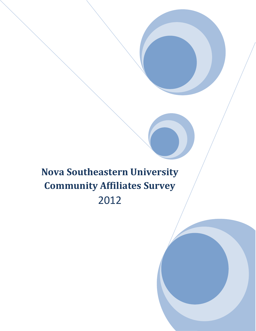**Nova Southeastern University Community Affiliates Survey**  2012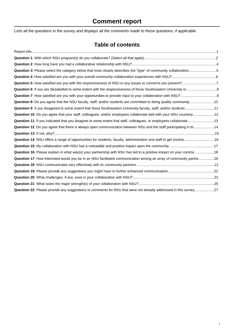# **Comment report**

Lists all the questions in the survey and displays all the comments made to these questions, if applicable.

### **Table of contents**

| Question 3: Please select the category below that most closely describes the "type" of community collaboration5    |  |
|--------------------------------------------------------------------------------------------------------------------|--|
|                                                                                                                    |  |
| Question 5: How satisfied are you with the responsiveness of NSU to any issues or concerns you present?7           |  |
|                                                                                                                    |  |
|                                                                                                                    |  |
| Question 8: Do you agree that the NSU faculty, staff, and/or students are committed to doing quality community10   |  |
| Question 9: If you disagreed to some extent that Nova Southeastern University faculty, staff, and/or students 11   |  |
| Question 10: Do you agree that your staff, colleagues, and/or employees collaborate well with your NSU counterp12  |  |
| Question 11: If you indicated that you disagree to some extent that staff, colleagues, or employees collaborate13  |  |
| Question 12: Do you agree that there is always open communication between NSU and the staff participating in th14  |  |
|                                                                                                                    |  |
| Question 14: NSU offers a range of opportunities for students, faculty, administration and staff to get involve16  |  |
|                                                                                                                    |  |
| Question 16: Please explain in what way(s) your partnership with NSU has led to a positive impact on your commu 18 |  |
| Question 17: How interested would you be in an NSU facilitated communication among an array of community partne20  |  |
|                                                                                                                    |  |
|                                                                                                                    |  |
|                                                                                                                    |  |
|                                                                                                                    |  |
| Question 22: Please provide any suggestions or comments for NSU that were not already addressed in this survey27   |  |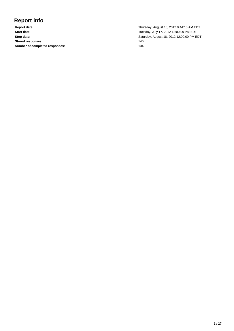# <span id="page-2-0"></span>**Report info**

**Stored responses:** 140 **Number of completed responses:** 134

**Report date:** Thursday, August 16, 2012 9:44:15 AM EDT **Start date:** Tuesday, July 17, 2012 12:00:00 PM EDT **Stop date:** Saturday, August 18, 2012 12:00:00 PM EDT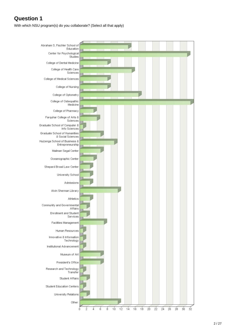<span id="page-3-0"></span>With which NSU program(s) do you collaborate? (Select all that apply)

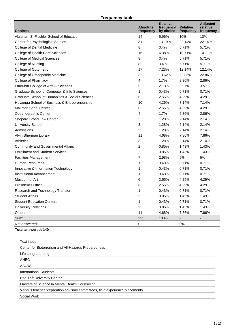### **Frequency table**

| <b>Choices</b>                                  | <b>Absolute</b><br>frequency | <b>Relative</b><br>frequency<br>by choice | <b>Relative</b><br>frequency | <b>Adjusted</b><br>relative<br>frequency |
|-------------------------------------------------|------------------------------|-------------------------------------------|------------------------------|------------------------------------------|
| Abraham S. Fischler School of Education         | 14                           | 5.96%                                     | 10%                          | 10%                                      |
| Center for Psychological Studies                | 31                           | 13.19%                                    | 22.14%                       | 22.14%                                   |
| College of Dental Medicine                      | 8                            | 3.4%                                      | 5.71%                        | 5.71%                                    |
| College of Health Care Sciences                 | 15                           | 6.38%                                     | 10.71%                       | 10.71%                                   |
| <b>College of Medical Sciences</b>              | 8                            | 3.4%                                      | 5.71%                        | 5.71%                                    |
| College of Nursing                              | 8                            | 3.4%                                      | 5.71%                        | 5.71%                                    |
| College of Optometry                            | 17                           | 7.23%                                     | 12.14%                       | 12.14%                                   |
| College of Osteopathic Medicine                 | 32                           | 13.62%                                    | 22.86%                       | 22.86%                                   |
| College of Pharmacy                             | 4                            | 1.7%                                      | 2.86%                        | 2.86%                                    |
| Farquhar College of Arts & Sciences             | 5                            | 2.13%                                     | 3.57%                        | 3.57%                                    |
| Graduate School of Computer & Info Sciences     | 1                            | 0.43%                                     | 0.71%                        | 0.71%                                    |
| Graduate School of Humanities & Social Sciences | 6                            | 2.55%                                     | 4.29%                        | 4.29%                                    |
| Huizenga School of Business & Entrepreneurship  | 10                           | 4.26%                                     | 7.14%                        | 7.14%                                    |
| Mailman Segal Center                            | 6                            | 2.55%                                     | 4.29%                        | 4.29%                                    |
| Oceanographic Center                            | 4                            | 1.7%                                      | 2.86%                        | 2.86%                                    |
| Shepard Broad Law Center                        | 3                            | 1.28%                                     | 2.14%                        | 2.14%                                    |
| <b>University School</b>                        | 3                            | 1.28%                                     | 2.14%                        | 2.14%                                    |
| Admissions                                      | 3                            | 1.28%                                     | 2.14%                        | 2.14%                                    |
| Alvin Sherman Library                           | 11                           | 4.68%                                     | 7.86%                        | 7.86%                                    |
| Athletics                                       | 3                            | 1.28%                                     | 2.14%                        | 2.14%                                    |
| <b>Community and Governmental Affairs</b>       | $\overline{c}$               | 0.85%                                     | 1.43%                        | 1.43%                                    |
| <b>Enrollment and Student Services</b>          | $\overline{2}$               | 0.85%                                     | 1.43%                        | 1.43%                                    |
| <b>Facilities Management</b>                    | 7                            | 2.98%                                     | 5%                           | 5%                                       |
| Human Resources                                 | 1                            | 0.43%                                     | 0.71%                        | 0.71%                                    |
| Innovative & Information Technology             | 1                            | 0.43%                                     | 0.71%                        | 0.71%                                    |
| Institutional Advancement                       | 1                            | 0.43%                                     | 0.71%                        | 0.71%                                    |
| Museum of Art                                   | 6                            | 2.55%                                     | 4.29%                        | 4.29%                                    |
| <b>President's Office</b>                       | 6                            | 2.55%                                     | 4.29%                        | 4.29%                                    |
| Research and Technology Transfer                | 1                            | 0.43%                                     | 0.71%                        | 0.71%                                    |
| <b>Student Affairs</b>                          | 2                            | 0.85%                                     | 1.43%                        | 1.43%                                    |
| <b>Student Education Centers</b>                | 1                            | 0.43%                                     | 0.71%                        | 0.71%                                    |
| <b>University Relations</b>                     | $\overline{2}$               | 0.85%                                     | 1.43%                        | 1.43%                                    |
| Other:                                          | 11                           | 4.68%                                     | 7.86%                        | 7.86%                                    |
| Sum:                                            | 235                          | 100%                                      |                              |                                          |
| Not answered:                                   | $\mathbf 0$                  |                                           | 0%                           |                                          |

| Text input                                                                   |
|------------------------------------------------------------------------------|
| Center for Bioterrorism and All-Hazards Preparedness                         |
| Life Long Learning                                                           |
| <b>AHEC</b>                                                                  |
| AAUW                                                                         |
| International Students                                                       |
| Don Taft University Center                                                   |
| Masters of Science in Mental Health Counseling                               |
| Various teacher preparation advisory committees, field experience placements |
| Social Work                                                                  |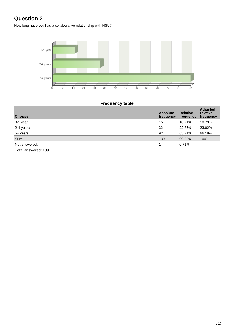<span id="page-5-0"></span>How long have you had a collaborative relationship with NSU?



## **Frequency table**

| <b>Choices</b> | <b>Absolute</b><br>frequency | <b>Relative</b><br>frequency | <b>Adjusted</b><br>relative<br>frequency |
|----------------|------------------------------|------------------------------|------------------------------------------|
| 0-1 year       | 15                           | 10.71%                       | 10.79%                                   |
| 2-4 years      | 32                           | 22.86%                       | 23.02%                                   |
| 5+ years       | 92                           | 65.71%                       | 66.19%                                   |
| Sum:           | 139                          | 99.29%                       | 100%                                     |
| Not answered:  |                              | 0.71%                        | $\overline{a}$                           |
| ______<br>.    |                              |                              |                                          |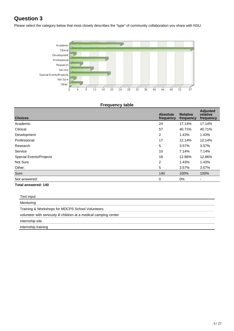<span id="page-6-0"></span>Please select the category below that most closely describes the "type" of community collaboration you share with NSU.



#### **Frequency table**

| <b>Choices</b>                 | <b>Absolute</b><br>frequency | <b>Relative</b><br>frequency | <b>Adjusted</b><br>relative<br>frequency |
|--------------------------------|------------------------------|------------------------------|------------------------------------------|
| Academic                       | 24                           | 17.14%                       | 17.14%                                   |
| Clinical                       | 57                           | 40.71%                       | 40.71%                                   |
| Development                    | $\overline{2}$               | 1.43%                        | 1.43%                                    |
| Professional                   | 17                           | 12.14%                       | 12.14%                                   |
| Research                       | 5                            | 3.57%                        | 3.57%                                    |
| Service                        | 10                           | 7.14%                        | 7.14%                                    |
| <b>Special Events/Projects</b> | 18                           | 12.86%                       | 12.86%                                   |
| Not Sure                       | $\overline{2}$               | 1.43%                        | 1.43%                                    |
| Other:                         | 5                            | 3.57%                        | 3.57%                                    |
| Sum:                           | 140                          | 100%                         | 100%                                     |
| Not answered:                  | 0                            | $0\%$                        | $\overline{\phantom{a}}$                 |

| Text input                                                        |
|-------------------------------------------------------------------|
| Mentoring                                                         |
| Training & Workshops for MDCPS School Volunteers                  |
| volunteer with seriously ill children at a medical camping center |
| internship site                                                   |
| internship training                                               |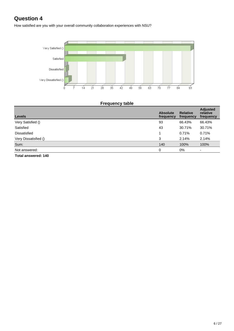<span id="page-7-0"></span>How satisfied are you with your overall community collaboration experiences with NSU?



### **Frequency table**

| <b>Levels</b>         | <b>Absolute</b><br>frequency | <b>Relative</b><br>frequency | <b>Adjusted</b><br>relative<br>frequency |
|-----------------------|------------------------------|------------------------------|------------------------------------------|
| Very Satisfied ()     | 93                           | 66.43%                       | 66.43%                                   |
| Satisfied             | 43                           | 30.71%                       | 30.71%                                   |
| <b>Dissatisfied</b>   |                              | 0.71%                        | 0.71%                                    |
| Very Dissatisfied ()  | 3                            | 2.14%                        | 2.14%                                    |
| Sum:                  | 140                          | 100%                         | 100%                                     |
| Not answered:         | 0                            | 0%                           |                                          |
| Tatal angusarad: 4.40 |                              |                              |                                          |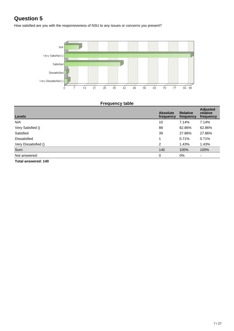<span id="page-8-0"></span>How satisfied are you with the responsiveness of NSU to any issues or concerns you present?



### **Frequency table**

| <b>Levels</b>              | <b>Absolute</b><br>frequency | <b>Relative</b><br>frequency | <b>Adjusted</b><br>relative<br>frequency |
|----------------------------|------------------------------|------------------------------|------------------------------------------|
| N/A                        | 10                           | 7.14%                        | 7.14%                                    |
| Very Satisfied ()          | 88                           | 62.86%                       | 62.86%                                   |
| Satisfied                  | 39                           | 27.86%                       | 27.86%                                   |
| <b>Dissatisfied</b>        |                              | 0.71%                        | 0.71%                                    |
| Very Dissatisfied ()       | 2                            | 1.43%                        | 1.43%                                    |
| Sum:                       | 140                          | 100%                         | 100%                                     |
| Not answered:              | 0                            | $0\%$                        | $\overline{a}$                           |
| <b>Total answered: 140</b> |                              |                              |                                          |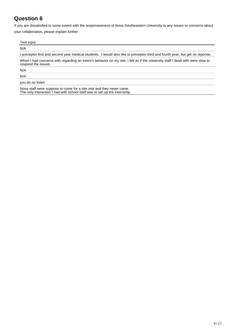<span id="page-9-0"></span>If you are dissatisfied to some extent with the responsiveness of Nova Southeastern University to any issues or concerns about your collaboration, please explain further.

| Text input                                                                                                                                             |  |
|--------------------------------------------------------------------------------------------------------------------------------------------------------|--|
| N/A                                                                                                                                                    |  |
| I preceptor first and second year medical students. I would also like to preceptor third and fourth year, but get no reponse.                          |  |
| When I had concerns with regarding an intern's behavior on my site, I felt as if the university staff I dealt with were slow to<br>respond the issues. |  |
| N/A                                                                                                                                                    |  |
| N/A                                                                                                                                                    |  |
| you do no listen                                                                                                                                       |  |
| Nove staff were suppose to come for a site visit and they never came                                                                                   |  |

Nova staff were suppose to come for a site visit and they never came. The only interaction I had with school staff was to set up the internship.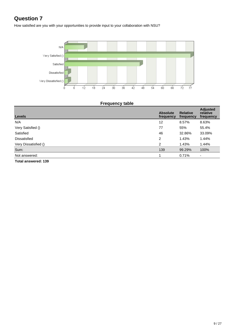<span id="page-10-0"></span>How satisfied are you with your opportunities to provide input to your collaboration with NSU?



### **Frequency table**

| <b>Levels</b>              | <b>Absolute</b><br>frequency | <b>Relative</b><br>frequency | <b>Adjusted</b><br>relative<br>frequency |
|----------------------------|------------------------------|------------------------------|------------------------------------------|
| N/A                        | 12                           | 8.57%                        | 8.63%                                    |
| Very Satisfied ()          | 77                           | 55%                          | 55.4%                                    |
| Satisfied                  | 46                           | 32.86%                       | 33.09%                                   |
| <b>Dissatisfied</b>        | $\overline{2}$               | 1.43%                        | 1.44%                                    |
| Very Dissatisfied ()       | 2                            | 1.43%                        | 1.44%                                    |
| Sum:                       | 139                          | 99.29%                       | 100%                                     |
| Not answered:              |                              | 0.71%                        | $\overline{\phantom{a}}$                 |
| <b>Total answered: 139</b> |                              |                              |                                          |

9 / 27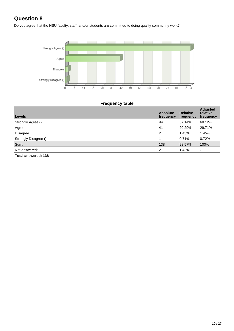<span id="page-11-0"></span>Do you agree that the NSU faculty, staff, and/or students are committed to doing quality community work?



### **Frequency table**

| <b>Levels</b>        | <b>Absolute</b><br>frequency | <b>Relative</b><br>frequency | <b>Adjusted</b><br>relative<br>frequency |
|----------------------|------------------------------|------------------------------|------------------------------------------|
| Strongly Agree ()    | 94                           | 67.14%                       | 68.12%                                   |
| Agree                | 41                           | 29.29%                       | 29.71%                                   |
| <b>Disagree</b>      | 2                            | 1.43%                        | 1.45%                                    |
| Strongly Disagree () |                              | 0.71%                        | 0.72%                                    |
| Sum:                 | 138                          | 98.57%                       | 100%                                     |
| Not answered:        | C                            | 1.43%                        | $\overline{\phantom{0}}$                 |
| Tatal awarrawad: 490 |                              |                              |                                          |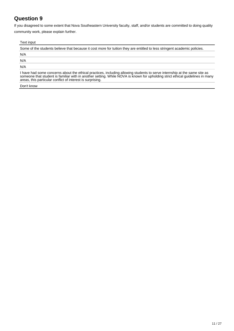<span id="page-12-0"></span>If you disagreed to some extent that Nova Southeastern University faculty, staff, and/or students are committed to doing quality community work, please explain further.

#### Text input

Some of the students believe that because it cost more for tuition they are entitled to less stringent academic policies. N/A N/A N/A I have had some concerns about the ethical practices, including allowing students to serve internship at the same site as someone that student is familiar with in another setting. While NOVA is known for upholding strict ethical guidelines in many

Don't know

areas, this particular conflict of interest is surprising.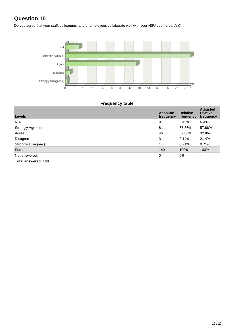<span id="page-13-0"></span>Do you agree that your staff, colleagues, and/or employees collaborate well with your NSU counterpart(s)?



| <b>Frequency table</b> |  |
|------------------------|--|
|                        |  |

| <b>Levels</b>              | <b>Absolute</b><br>frequency | <b>Relative</b><br>frequency | <b>Adjusted</b><br>relative<br>frequency |
|----------------------------|------------------------------|------------------------------|------------------------------------------|
| N/A                        | 9                            | 6.43%                        | 6.43%                                    |
| Strongly Agree ()          | 81                           | 57.86%                       | 57.86%                                   |
| Agree                      | 46                           | 32.86%                       | 32.86%                                   |
| Disagree                   | 3                            | 2.14%                        | 2.14%                                    |
| Strongly Disagree ()       |                              | 0.71%                        | 0.71%                                    |
| Sum:                       | 140                          | 100%                         | 100%                                     |
| Not answered:              | 0                            | $0\%$                        | $\overline{a}$                           |
| <b>Total answered: 140</b> |                              |                              |                                          |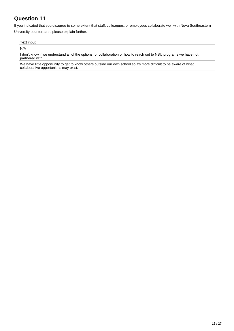<span id="page-14-0"></span>If you indicated that you disagree to some extent that staff, colleagues, or employees collaborate well with Nova Southeastern University counterparts, please explain further.

Text input

N/A

I don't know if we understand all of the options for collaboration or how to reach out to NSU programs we have not partnered with.

We have little opportunity to get to know others outside our own school so it's more difficult to be aware of what collaborative opportunities may exist.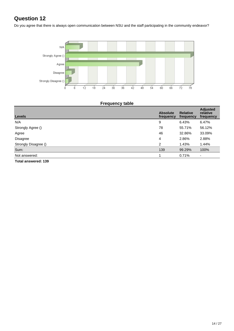<span id="page-15-0"></span>Do you agree that there is always open communication between NSU and the staff participating in the community endeavor?



### **Frequency table**

| <b>Levels</b>        | <b>Absolute</b><br>frequency | <b>Relative</b><br>frequency | <b>Adjusted</b><br>relative<br>frequency |
|----------------------|------------------------------|------------------------------|------------------------------------------|
| N/A                  | 9                            | 6.43%                        | 6.47%                                    |
| Strongly Agree ()    | 78                           | 55.71%                       | 56.12%                                   |
| Agree                | 46                           | 32.86%                       | 33.09%                                   |
| Disagree             | 4                            | 2.86%                        | 2.88%                                    |
| Strongly Disagree () | 2                            | 1.43%                        | 1.44%                                    |
| Sum:                 | 139                          | 99.29%                       | 100%                                     |
| Not answered:        |                              | 0.71%                        | ۰                                        |
| Total anowarad: 420  |                              |                              |                                          |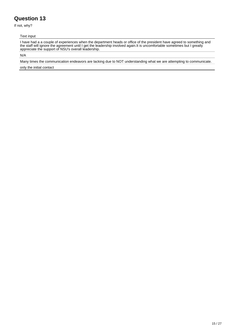<span id="page-16-0"></span>If not, why?

#### Text input

I have had a a couple of experiences when the department heads or office of the president have agreed to something and the staff will ignore the agreement until I get the leadership involved again.It is uncomfortable sometimes but I greatly appreciate the support of NSU's overall leadership.

N/A

Many times the communication endeavors are lacking due to NOT understanding what we are attempting to communicate.

only the initial contact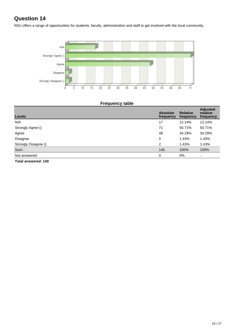<span id="page-17-0"></span>NSU offers a range of opportunities for students, faculty, administration and staff to get involved with the local community.



### **Frequency table**

| <b>Levels</b>        | <b>Absolute</b><br>frequency | <b>Relative</b><br>frequency | <b>Adjusted</b><br>relative<br>frequency |
|----------------------|------------------------------|------------------------------|------------------------------------------|
| N/A                  | 17                           | 12.14%                       | 12.14%                                   |
| Strongly Agree ()    | 71                           | 50.71%                       | 50.71%                                   |
| Agree                | 48                           | 34.29%                       | 34.29%                                   |
| <b>Disagree</b>      | 2                            | 1.43%                        | 1.43%                                    |
| Strongly Disagree () | 2                            | 1.43%                        | 1.43%                                    |
| Sum:                 | 140                          | 100%                         | 100%                                     |
| Not answered:        | 0                            | $0\%$                        | $\overline{\phantom{a}}$                 |
| Total answered: 140  |                              |                              |                                          |

16 / 27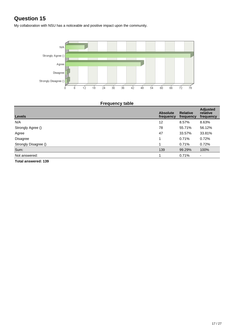<span id="page-18-0"></span>My collaboration with NSU has a noticeable and positive impact upon the community.



| <b>Frequency table</b> |  |
|------------------------|--|
|                        |  |

| <b>Levels</b>              | <b>Absolute</b><br>frequency | <b>Relative</b><br>frequency | <b>Adjusted</b><br>relative<br>frequency |
|----------------------------|------------------------------|------------------------------|------------------------------------------|
| N/A                        | 12                           | 8.57%                        | 8.63%                                    |
| Strongly Agree ()          | 78                           | 55.71%                       | 56.12%                                   |
| Agree                      | 47                           | 33.57%                       | 33.81%                                   |
| Disagree                   |                              | 0.71%                        | 0.72%                                    |
| Strongly Disagree ()       |                              | 0.71%                        | 0.72%                                    |
| Sum:                       | 139                          | 99.29%                       | 100%                                     |
| Not answered:              |                              | 0.71%                        | $\blacksquare$                           |
| <b>Total answered: 139</b> |                              |                              |                                          |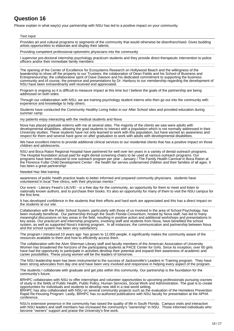<span id="page-19-0"></span>Please explain in what way(s) your partnership with NSU has led to a positive impact on your community.

#### Text input

Provides art and cultural programs to segments of the community that would otherwise be disenfranchised. Gives budding artists opportunities to elaborate and display their talents.

Providing competent professional optometric physicians into the community

I supervise pre-doctoral internship psychology practicum students and they provide direct therapeutic intervention to police officers and/or their immediate family members

The opening of the Center of Excellence for Ecosystems Research on Hollywood Beach and the willingness of the leaedership to show off the property to our Trustees; the colaboration of Dean Fields and his School of Business and Entrepreneurship; the collaborative spirit of Dave Dawson and his dedicated commitment to supporting the business community and of course, the presence and presentations by Dr. Hanbury to our membership regarding the development of NSU have been extraordinarily well received and appreciated.

Program is ongoing so it is difficult to measure impact at this time but I believe the goals of the partnership are being addressed on both sides.

Through our collaboration with NSU, we are training psychology student interns who then go out into the community with experience and knowledge to help others.

Students have conducted the Community Healthy Living Index in our After School sites and provided education during summer camp

my patients enjoy interacting with the medical students and Nova

Nova has placed graduate externs with me at several sites. The majority of the clients we saw were adults with developmental disabilities, allowing the grad students to interact with a population which is not normally addressed in their University studies. These students have not only learned to work with this population, but have earned an awareness and respect for them and several have gone on after graduation to work with adults with developmental disabilities.

We have excellent interns to provide additional clinical services to our residential clients that has a positive impact on those children and adolescents.

NSU and Boca Raton Regional Hospital have partnered for well over ten years in a variety of dental outreach programs. The Hospital foundation actual paid for eight dental screening chairs to be used at various outreach programs. Our programs have been reduced to one outreach program per year - January / The Family Health Carnival in Boca Raton at the Florence Fuller Child Development Center - the health fair serves underserved children and their families of all ages. It has been a great partnership!

#### Needed Haz Mat training

awareness of public health practice leads to better informed and prepared community physicians. students have volunteered in local "free clinics, with their physician mentor."

Our event - Literary Feast's LitLIVE! - is a free day for the community, an opportunity for them to meet and listen to nationally known authors, and to purchase their books. It's also an opportunity for many of them to visit the NSU campus for the first time.

It has developed confidence in the students that their efforts and hard work are appreciated and this has a direct impact on the students at our site.

Collaboration with the Public School System, particularly with those of us involved in the area of School Psychology, has been mutually beneficial. Our partnership through the South Florida Consortium, hosted by Nova staff, has led to many meaningful discussions on key areas in the field, resulting in positive action and additional workshops and presentations in key areas. Our practicum and internship programs, involving staff and students from Nova, have benefited the school system, as well as supported Nova's training program. In all instances, the communication and partnership between Nova and the school system has been very satisfactory.

The program I introduced 10 years ago has grown to 12,000 people. it significantly makes the community aware of the resources available to them and how to efficiently access them.

The collaboration with the Alvin Sherman Library staff and faculty members of the American Association of University Women has broadened the horizons of the participating students at PACE Center for Girls. Since its inception, over 60 girls have had the opportunity to participate in activities develop their potential and expand their awareness of academic and career possibilties. These young women will be the leaders of tomorrow.

The NSU leadership team has been instrumental to the success of Jacksonville's Leaders in Training program. They have been strong advocates from day one and have been very involved and responsive in helping every aspect of the program.

The students I collaborate with graduate and get jobs within this community. Our partnership is the foundation for the community's future.

BRHPC collaborates with NSU to offer internships and volunteer opportunities to upcoming professionals pursuing courses of study in the fields of Public Health, Public Policy, Human Services, Social Work and Administration. The goal is to create opportunities for individuals and students to develop new skill in a real world setting. BRHPC has also collaborated with NSU on several community projects such as the evaluation of the Homeless Prevention Rapid Re-Housing Program. Lastly, BRHPC has co-authored publications with NSU faculty for presentation at the APHA conference.

NSU's extensive presence in the community has raised the quality of life in South Florida. Campus visits and interaction with NSU leaders and staff members has increased the community's "ownership" in NSU. Those informed individuals who become "owners" support and praise the University's fine work.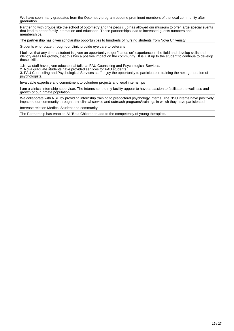We have seen many graduates from the Optometry program become prominent members of the local community after graduation

Partnering with groups like the school of optometry and the peds club has allowed our museum to offer large special events that lead to better family interaction and education. These partnerships lead to increased guests numbers and memberships.

The partnership has given scholarship opportunities to hundreds of nursing students from Nova Univeristy.

Students who rotate through our clinic provide eye care to veterans

I believe that any time a student is given an opportunity to get "hands on" experience in the field and develop skills and identify areas for growth, that this has a positive impact on the community. It is just up to the student to continue to develop those skills.

1.Nova staff have given educational talks at FAU Counseling and Psychological Services.

2. Nova graduate students have provided services for FAU students.

3. FAU Counseling and Psychological Services staff enjoy the opportunity to participate in training the next generation of psychologists.

Invaluable expertise and commitment to volunteer projects and legal internships

I am a clinical internship supervisor. The interns sent to my facility appear to have a passion to facilitate the wellness and growth of our inmate population.

We collaborate with NSU by providing internship training to predoctoral psychology interns. The NSU interns have positively impacted our community through their clinical service and outreach programs/trainings in which they have participated.

Increase relation Medical Student and community

The Partnership has enabled All 'Bout Children to add to the competency of young therapists.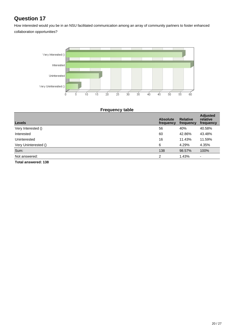<span id="page-21-0"></span>How interested would you be in an NSU facilitated communication among an array of community partners to foster enhanced collaboration opportunities?



| <b>Frequency table</b> |  |
|------------------------|--|
|                        |  |

| <b>Levels</b>        | <b>Absolute</b><br>frequency | <b>Relative</b><br>frequency | <b>Adjusted</b><br>relative<br>frequency |
|----------------------|------------------------------|------------------------------|------------------------------------------|
| Very Interested ()   | 56                           | 40%                          | 40.58%                                   |
| Interested           | 60                           | 42.86%                       | 43.48%                                   |
| Uninterested         | 16                           | 11.43%                       | 11.59%                                   |
| Very Uninterested () | 6                            | 4.29%                        | 4.35%                                    |
| Sum:                 | 138                          | 98.57%                       | 100%                                     |
| Not answered:        | $\mathcal{P}$                | 1.43%                        | $\overline{\phantom{a}}$                 |
| Total anewared: 128  |                              |                              |                                          |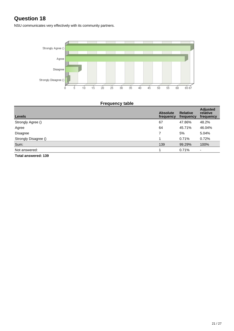<span id="page-22-0"></span>NSU communicates very effectively with its community partners.



### **Frequency table**

| <b>Levels</b>        | <b>Absolute</b><br>frequency | <b>Relative</b><br>frequency | <b>Adjusted</b><br>relative<br>frequency |
|----------------------|------------------------------|------------------------------|------------------------------------------|
| Strongly Agree ()    | 67                           | 47.86%                       | 48.2%                                    |
| Agree                | 64                           | 45.71%                       | 46.04%                                   |
| <b>Disagree</b>      |                              | 5%                           | 5.04%                                    |
| Strongly Disagree () |                              | 0.71%                        | 0.72%                                    |
| Sum:                 | 139                          | 99.29%                       | 100%                                     |
| Not answered:        |                              | 0.71%                        | $\overline{\phantom{0}}$                 |
| Tatal angusarad: 420 |                              |                              |                                          |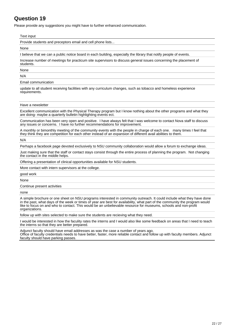<span id="page-23-0"></span>Please provide any suggestions you might have to further enhanced communication.

#### Text input

Provide students and preceptors email and cell phone lists...

None

I believe that we can a public notice board in each building, especially the library that notify people of events.

Increase number of meetings for practicum site supervisors to discuss general issues concerning the placement of students.

None

N/A

Email communication

update to all student receiving facilities with any curriculum changes, such as tobacco and homeless experience requirements.

#### Have a newsletter

Excellent communication with the Physical Therapy program but I know nothing about the other programs and what they are doing- maybe a quarterly bulletin highlighting events ect.

Communication has been very open and positive. I have always felt that I was welcome to contact Nova staff to discuss any issues or concerns. I have no further recommendations for improvement.

A monthly or bimonthly meeting of the community events with the people in charge of each one. many times I feel that they think they are competition for each other instead of an expansion of different avail abilities to them.

N/A

Perhaps a facebook page devoted exclusively to NSU community collaboration would allow a forum to exchange ideas.

Just making sure that the staff or contact stays consist through the entire process of planning the program. Not changing the contact in the middle helps.

Offering a presentation of clinical opportunities available for NSU students.

More contact with intern supervisors at the college.

good work

None

Continue present activities

none

A simple brochure or one sheet on NSU programs interested in community outreach. It could include what they have done in the past, what days of the week or times of year are best for availability, what part of the community the program would like to focus on and who to contact. This would be an unbelievable resource for museums, schools and non-profit organizations.

follow up with sites selected to make sure the students are recieving what they need.

I would be interested in how the faculity rates the interns and I would also like some feedback on areas that I need to teach the interns so that they are better prepared.

Adjunct faculty should have email addresses as was the case a number of years ago. Office of faculty credentials needs to have better, faster, more reliable contact and follow up with faculty members. Adjunct faculty should have parking passes.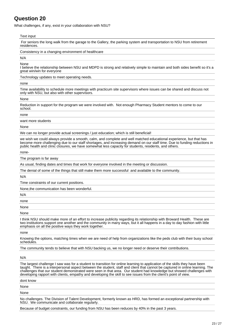<span id="page-24-0"></span>What challenges, if any, exist in your collaboration with NSU?

#### Text input

 For seniors the long walk from the garage to the Gallery, the parking system and transportation to NSU from retirement residences.

Consistency in a changing environment of healthcare

N/A

None

I believe the relationship between NSU and MDPD is strong and relatively simple to maintain and both sides benefit so it's a great win/win for everyone

Technology updates to meet operating needs.

none

Time availability to schedule more meetings with practicum site supervisors where issues can be shared and discuss not only with NSU, but also with other supervisors.

None

Reduction in support for the program we were involved with. Not enough Pharmacy Student mentors to come to our school.

none

want more students

None

We can no longer provide actual screenings / just education; which is still beneficial!

we wish we could always provide a smooth, calm, and complete and well matched educational experience, but that has become more challenging due to our staff shortages, and increasing demand on our staff time. Due to funding reductions in public health and clinic closures, we have somewhat less capacity for students, residents, and others.

none-

The program is far away

As usual, finding dates and times that work for everyone involved in the meeting or discussion.

The denial of some of the things that still make them more successful and available to the community.

N/A

Time constraints of our current positions.

None,the communication has been wonderful.

N/A

none

None

None

I think NSU should make more of an effort to increase publicity regarding its relationship with Broward Health. These are two institutions support one another and the community in many ways, but it all happens in a day to day fashion with little emphasis on all the positive ways they work together.

none

Knowing the options, matching times when we are need of help from organizations like the peds club with their busy school schedules.

The community tends to believe that with NSU backing us, we no longer need or deserve their contributions.

N/A

The largest challenge I saw was for a student to transition for online learning to application of the skills they have been taught. There is a interpersonal aspect between the student, staff and client that cannot be captured in online learning. The challenges that our student demonstrated were seen in that area. Our student had knowledge but showed challenges with developing rapport with clients, empathy and developing the skill to see issues from the client's point of view.

dont know

None

None

No challenges. The Division of Talent Development, formerly known as HRD, has formed an exceptional partnership with NSU. We communicate and collaborate regularly.

Because of budget constraints, our funding from NSU has been reduces by 40% in the past 3 years.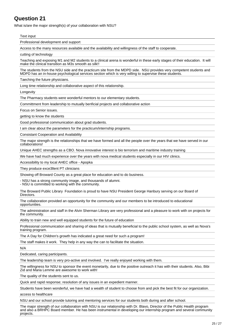<span id="page-26-0"></span>What is/are the major strength(s) of your collaboration with NSU?

#### Text input

Professional development and support

Access to the many resources available and the availability and willingness of the staff to cooperate.

cutting of technology

Teaching and exposing M1 and M2 students to a clinical arena is wonderful in these early stages of their education. It will make the clinical transition as M3s smooth as silk!!

The students from the NSU side and the practicum site from the MDPD side. NSU provides very competent students and MDPD has an in-house psychological services section which is very willing to supervise these students.

Taeching the future physicians.

Long time relationship and collaborative aspect of this relationship.

Longevity

The Pharmacy students were wonderful mentors to our elementary students.

Committment from leadership to mutually benficial projects and collaborative action

Focus on Senior issues.

getting to know the students

Good professional communication about grad students.

I am clear about the parameters for the practicum/internship programs.

Consistant Cooperation and Availability

The major strength is the relationships that we have formed and all the people over the years that we have served in our collaborations!

Unique AHEC strengths as a CBO. Nova innovative interest is bio terrorism and maritime industry training

We have had much experience over the years with nova medical students especially in our HIV clinics.

Accessibility to my local AHEC office - Apopka

They produce exce3llent PT clinicians

Showing off Broward County as a great place for education and to do business.

- NSU has a strong community image, and thousands of alumni.

- NSU is committed to working with the community.

The Broward Public Library Foundation is proud to have NSU President George Hanbury serving on our Board of **Directors** 

The collaboration provided an opportunity for the community and our members to be introduced to educational opportunities.

The administration and staff in the Alvin Sherman Library are very professional and a pleasure to work with on projects for the community.

Ability to train new and well equipped students for the future of education

Professional communication and sharing of ideas that is mutually beneficial to the public school system, as well as Nova's training program.

The A Day for Children's growth has indicated a great need for such a program!

The staff makes it work. They help in any way the can to facilitate the situation.

N/A

Dedicated, caring participants.

The leadership team is very pro-active and involved. I've really enjoyed working with them.

The willingness for NSU to sponsor the event monetarily, due to the positive outreach it has with their students. Also, Bibi Zid and Maria Lemme are awesome to work with!

The quality of the students sent to us.

Quick and rapid response; resolution of any issues in an expedient manner.

Students have been wonderful, we have had a wealth of student to choose from and pick the best fit for our organization.

access to healthcare

NSU and our school provide tutoring and mentoring services for our students both during and after school.

The major strength of our collaboration with NSU is our relationship with Dr. Blavo, Director of the Public Health program and also a BRHPC Board member. He has been instrumental in developing our internship program and several community projects.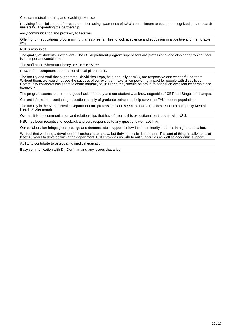Constant mutual learning and teaching exercise

Providing financial support for research. Increasing awareness of NSU's commitment to become recognized as a research university. Expanding the partnership.

easy communication and proximity to facilities

Offering fun, educational programming that inspires families to look at science and education in a positive and memorable way.

NSU's resources.

The quality of students is excellent. The OT department program supervisors are professional and also caring which I feel is an important combination.

The staff at the Sherman Library are THE BEST!!!!

Nova refers competent students for clinical placements.

The faculty and staff that support the DisAbilities Expo, held annually at NSU, are responsive and wonderful partners. Without them, we would not see the success of our event or make an empowering impact for people with disabilities. Community collaborations seem to come naturally to NSU and they should be proud to offer such excellent leadership and teamwork.

The program seems to present a good basis of theory and our student was knowledgeable of CBT and Stages of changes.

Current information, continuing education, supply of graduate trainees to help serve the FAU student population.

The faculity in the Mental Health Department are professional and seem to have a real desire to turn out quality Mental Health Professionals.

Overall, it is the communication and relationships that have fostered this exceptional partnership with NSU.

NSU has been receptive to feedback and very responsive to any questions we have had.

Our collaboration brings great prestige and demonstrates support for low-income minority students in higher education.

We feel that we bring a developed full orchestra to a new, but thriving music department. This sort of thing usually takes at least 15 years to develop within the department. NSU provides us with beautiful facilities as well as academic support.

Ability to contribute to ostepoathic medical education.

Easy communication with Dr. Dorfman and any issues that arise.